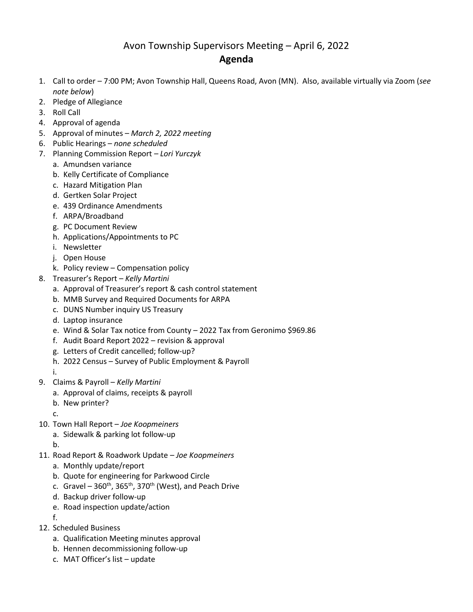## Avon Township Supervisors Meeting – April 6, 2022 **Agenda**

- 1. Call to order 7:00 PM; Avon Township Hall, Queens Road, Avon (MN). Also, available virtually via Zoom (*see note below*)
- 2. Pledge of Allegiance
- 3. Roll Call
- 4. Approval of agenda
- 5. Approval of minutes *March 2, 2022 meeting*
- 6. Public Hearings *none scheduled*
- 7. Planning Commission Report *– Lori Yurczyk*
	- a. Amundsen variance
	- b. Kelly Certificate of Compliance
	- c. Hazard Mitigation Plan
	- d. Gertken Solar Project
	- e. 439 Ordinance Amendments
	- f. ARPA/Broadband
	- g. PC Document Review
	- h. Applications/Appointments to PC
	- i. Newsletter
	- j. Open House
	- k. Policy review Compensation policy
- 8. Treasurer's Report *Kelly Martini*
	- a. Approval of Treasurer's report & cash control statement
	- b. MMB Survey and Required Documents for ARPA
	- c. DUNS Number inquiry US Treasury
	- d. Laptop insurance
	- e. Wind & Solar Tax notice from County 2022 Tax from Geronimo \$969.86
	- f. Audit Board Report 2022 revision & approval
	- g. Letters of Credit cancelled; follow-up?
	- h. 2022 Census Survey of Public Employment & Payroll
	- i.
- 9. Claims & Payroll *Kelly Martini*
	- a. Approval of claims, receipts & payroll
		- b. New printer?
		- c.
- 10. Town Hall Report *Joe Koopmeiners*
	- a. Sidewalk & parking lot follow-up
	- b.
- 11. Road Report & Roadwork Update *Joe Koopmeiners*
	- a. Monthly update/report
	- b. Quote for engineering for Parkwood Circle
	- c. Gravel  $360^{th}$ ,  $365^{th}$ ,  $370^{th}$  (West), and Peach Drive
	- d. Backup driver follow-up
	- e. Road inspection update/action
	- f.
- 12. Scheduled Business
	- a. Qualification Meeting minutes approval
	- b. Hennen decommissioning follow-up
	- c. MAT Officer's list update